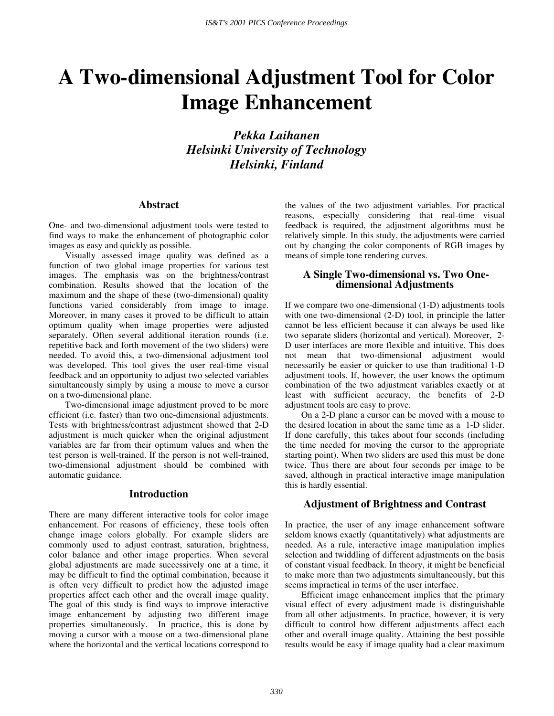# **A Two-dimensional Adjustment Tool for Color Image Enhancement**

*Pekka Laihanen Helsinki University of Technology Helsinki, Finland* 

### **Abstract**

One- and two-dimensional adjustment tools were tested to find ways to make the enhancement of photographic color images as easy and quickly as possible.

Visually assessed image quality was defined as a function of two global image properties for various test images. The emphasis was on the brightness/contrast combination. Results showed that the location of the maximum and the shape of these (two-dimensional) quality functions varied considerably from image to image. Moreover, in many cases it proved to be difficult to attain optimum quality when image properties were adjusted separately. Often several additional iteration rounds (i.e. repetitive back and forth movement of the two sliders) were needed. To avoid this, a two-dimensional adjustment tool was developed. This tool gives the user real-time visual feedback and an opportunity to adjust two selected variables simultaneously simply by using a mouse to move a cursor on a two-dimensional plane.

Two-dimensional image adjustment proved to be more efficient (i.e. faster) than two one-dimensional adjustments. Tests with brightness/contrast adjustment showed that 2-D adjustment is much quicker when the original adjustment variables are far from their optimum values and when the test person is well-trained. If the person is not well-trained, two-dimensional adjustment should be combined with automatic guidance.

#### **Introduction**

There are many different interactive tools for color image enhancement. For reasons of efficiency, these tools often change image colors globally. For example sliders are commonly used to adjust contrast, saturation, brightness, color balance and other image properties. When several global adjustments are made successively one at a time, it may be difficult to find the optimal combination, because it is often very difficult to predict how the adjusted image properties affect each other and the overall image quality. The goal of this study is find ways to improve interactive image enhancement by adjusting two different image properties simultaneously. In practice, this is done by moving a cursor with a mouse on a two-dimensional plane where the horizontal and the vertical locations correspond to the values of the two adjustment variables. For practical reasons, especially considering that real-time visual feedback is required, the adjustment algorithms must be relatively simple. In this study, the adjustments were carried out by changing the color components of RGB images by means of simple tone rendering curves.

# **A Single Two-dimensional vs. Two Onedimensional Adjustments**

If we compare two one-dimensional (1-D) adjustments tools with one two-dimensional (2-D) tool, in principle the latter cannot be less efficient because it can always be used like two separate sliders (horizontal and vertical). Moreover, 2- D user interfaces are more flexible and intuitive. This does not mean that two-dimensional adjustment would necessarily be easier or quicker to use than traditional 1-D adjustment tools. If, however, the user knows the optimum combination of the two adjustment variables exactly or at least with sufficient accuracy, the benefits of 2-D adjustment tools are easy to prove.

On a 2-D plane a cursor can be moved with a mouse to the desired location in about the same time as a 1-D slider. If done carefully, this takes about four seconds (including the time needed for moving the cursor to the appropriate starting point). When two sliders are used this must be done twice. Thus there are about four seconds per image to be saved, although in practical interactive image manipulation this is hardly essential.

# **Adjustment of Brightness and Contrast**

In practice, the user of any image enhancement software seldom knows exactly (quantitatively) what adjustments are needed. As a rule, interactive image manipulation implies selection and twiddling of different adjustments on the basis of constant visual feedback. In theory, it might be beneficial to make more than two adjustments simultaneously, but this seems impractical in terms of the user interface.

Efficient image enhancement implies that the primary visual effect of every adjustment made is distinguishable from all other adjustments. In practice, however, it is very difficult to control how different adjustments affect each other and overall image quality. Attaining the best possible results would be easy if image quality had a clear maximum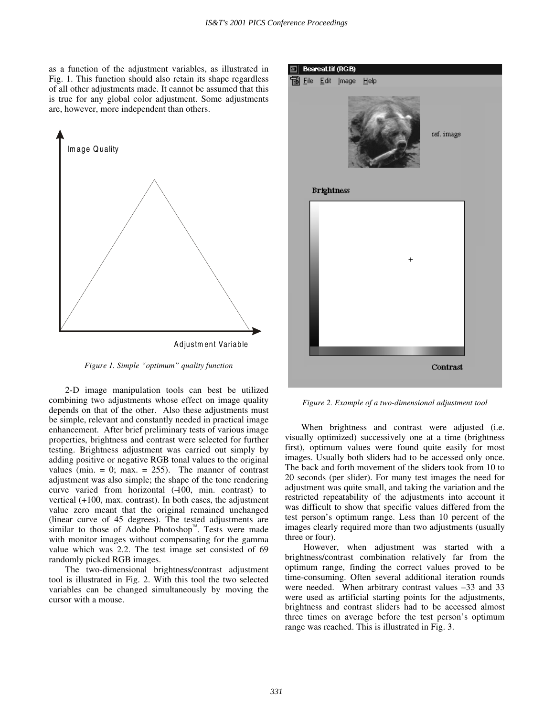as a function of the adjustment variables, as illustrated in Fig. 1. This function should also retain its shape regardless of all other adjustments made. It cannot be assumed that this is true for any global color adjustment. Some adjustments are, however, more independent than others.



*Figure 1. Simple "optimum" quality function* 

2-D image manipulation tools can best be utilized combining two adjustments whose effect on image quality depends on that of the other. Also these adjustments must be simple, relevant and constantly needed in practical image enhancement. After brief preliminary tests of various image properties, brightness and contrast were selected for further testing. Brightness adjustment was carried out simply by adding positive or negative RGB tonal values to the original values (min.  $= 0$ ; max.  $= 255$ ). The manner of contrast adjustment was also simple; the shape of the tone rendering curve varied from horizontal  $(400, \text{min.} \text{ contrast})$  to vertical (+100, max. contrast). In both cases, the adjustment value zero meant that the original remained unchanged (linear curve of 45 degrees). The tested adjustments are similar to those of Adobe Photoshop<sup>"</sup>. Tests were made with monitor images without compensating for the gamma value which was 2.2. The test image set consisted of 69 randomly picked RGB images.

The two-dimensional brightness/contrast adjustment tool is illustrated in Fig. 2. With this tool the two selected variables can be changed simultaneously by moving the cursor with a mouse.



*Figure 2. Example of a two-dimensional adjustment tool* 

When brightness and contrast were adjusted (i.e. visually optimized) successively one at a time (brightness first), optimum values were found quite easily for most images. Usually both sliders had to be accessed only once. The back and forth movement of the sliders took from 10 to 20 seconds (per slider). For many test images the need for adjustment was quite small, and taking the variation and the restricted repeatability of the adjustments into account it was difficult to show that specific values differed from the test person's optimum range. Less than 10 percent of the images clearly required more than two adjustments (usually three or four).

 However, when adjustment was started with a brightness/contrast combination relatively far from the optimum range, finding the correct values proved to be time-consuming. Often several additional iteration rounds were needed. When arbitrary contrast values -33 and 33 were used as artificial starting points for the adjustments, brightness and contrast sliders had to be accessed almost three times on average before the test person's optimum range was reached. This is illustrated in Fig. 3.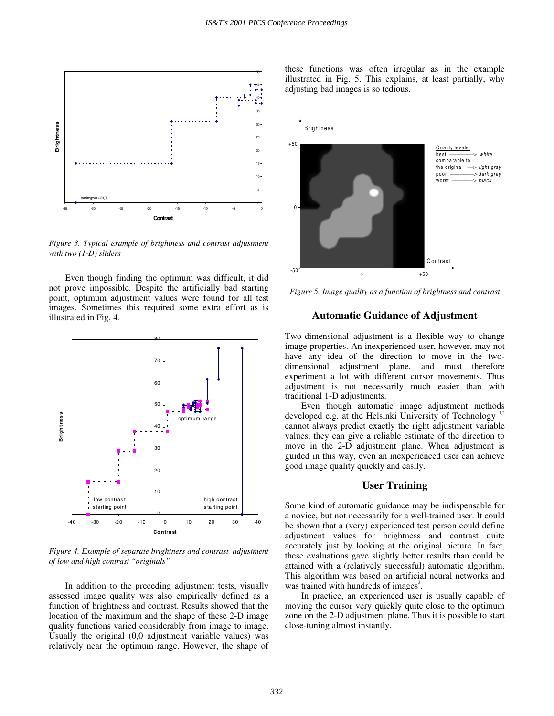

*Figure 3. Typical example of brightness and contrast adjustment with two (1-D) sliders* 

Even though finding the optimum was difficult, it did not prove impossible. Despite the artificially bad starting point, optimum adjustment values were found for all test images. Sometimes this required some extra effort as is illustrated in Fig. 4.



*Figure 4. Example of separate brightness and contrast adjustment of low and high contrast "originals"*

In addition to the preceding adjustment tests, visually assessed image quality was also empirically defined as a function of brightness and contrast. Results showed that the location of the maximum and the shape of these 2-D image quality functions varied considerably from image to image. Usually the original (0,0 adjustment variable values) was relatively near the optimum range. However, the shape of these functions was often irregular as in the example illustrated in Fig. 5. This explains, at least partially, why adjusting bad images is so tedious.



*Figure 5. Image quality as a function of brightness and contrast* 

# **Automatic Guidance of Adjustment**

Two-dimensional adjustment is a flexible way to change image properties. An inexperienced user, however, may not have any idea of the direction to move in the twodimensional adjustment plane, and must therefore experiment a lot with different cursor movements. Thus adjustment is not necessarily much easier than with traditional 1-D adjustments.

Even though automatic image adjustment methods developed e.g. at the Helsinki University of Technology<sup>1</sup> cannot always predict exactly the right adjustment variable values, they can give a reliable estimate of the direction to move in the 2-D adjustment plane. When adjustment is guided in this way, even an inexperienced user can achieve good image quality quickly and easily.

## **User Training**

Some kind of automatic guidance may be indispensable for a novice, but not necessarily for a well-trained user. It could be shown that a (very) experienced test person could define adjustment values for brightness and contrast quite accurately just by looking at the original picture. In fact, these evaluations gave slightly better results than could be attained with a (relatively successful) automatic algorithm. This algorithm was based on artificial neural networks and was trained with hundreds of images<sup>3</sup>.

In practice, an experienced user is usually capable of moving the cursor very quickly quite close to the optimum zone on the 2-D adjustment plane. Thus it is possible to start close-tuning almost instantly.